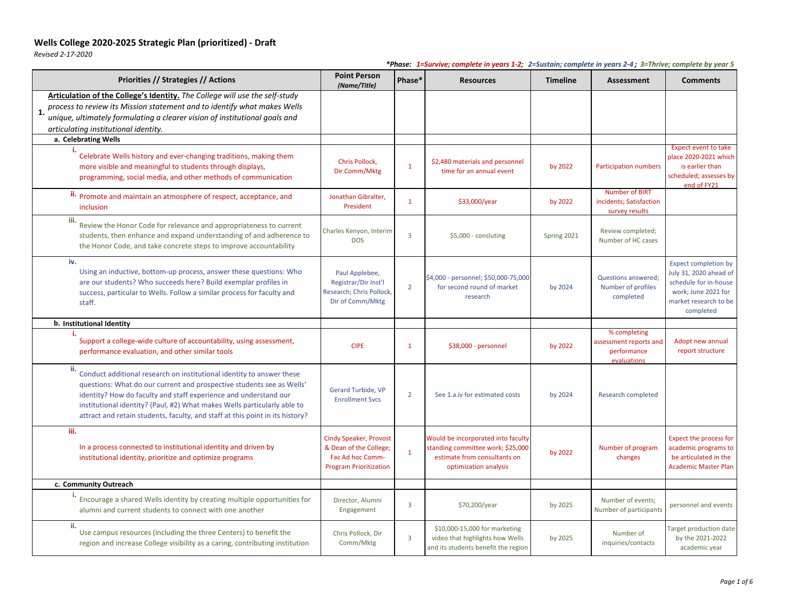*Revised 2-17-2020*

| Priorities // Strategies // Actions                                                                                                                                                                                                                                                                                                                                                    | <b>Point Person</b><br>(Name/Title)                                                                          | Phase*                  | <b>Resources</b>                                                                                                                 | <b>Timeline</b> | <b>Assessment</b>                                                    | <b>Comments</b>                                                                                                                             |
|----------------------------------------------------------------------------------------------------------------------------------------------------------------------------------------------------------------------------------------------------------------------------------------------------------------------------------------------------------------------------------------|--------------------------------------------------------------------------------------------------------------|-------------------------|----------------------------------------------------------------------------------------------------------------------------------|-----------------|----------------------------------------------------------------------|---------------------------------------------------------------------------------------------------------------------------------------------|
| Articulation of the College's Identity. The College will use the self-study<br>process to review its Mission statement and to identify what makes Wells<br>1.<br>unique, ultimately formulating a clearer vision of institutional goals and<br>articulating institutional identity.                                                                                                    |                                                                                                              |                         |                                                                                                                                  |                 |                                                                      |                                                                                                                                             |
| a. Celebrating Wells                                                                                                                                                                                                                                                                                                                                                                   |                                                                                                              |                         |                                                                                                                                  |                 |                                                                      |                                                                                                                                             |
| Celebrate Wells history and ever-changing traditions, making them<br>more visible and meaningful to students through displays,<br>programming, social media, and other methods of communication                                                                                                                                                                                        | Chris Pollock,<br>Dir Comm/Mktg                                                                              | -1                      | \$2,480 materials and personnel<br>time for an annual event                                                                      | by 2022         | Participation numbers                                                | <b>Expect event to take</b><br>place 2020-2021 which<br>is earlier than<br>scheduled; assesses by<br>end of FY21                            |
| ii. Promote and maintain an atmosphere of respect, acceptance, and<br>inclusion                                                                                                                                                                                                                                                                                                        | Jonathan Gibralter,<br>President                                                                             | $\mathbf 1$             | \$33,000/year                                                                                                                    | by 2022         | <b>Number of BIRT</b><br>incidents; Satisfaction<br>survey results   |                                                                                                                                             |
| iii.<br>Review the Honor Code for relevance and appropriateness to current<br>students, then enhance and expand understanding of and adherence to<br>the Honor Code, and take concrete steps to improve accountability                                                                                                                                                                 | Charles Kenyon, Interim<br><b>DOS</b>                                                                        | $\overline{3}$          | \$5,000 - consluting                                                                                                             | Spring 2021     | Review completed;<br>Number of HC cases                              |                                                                                                                                             |
| iv.<br>Using an inductive, bottom-up process, answer these questions: Who<br>are our students? Who succeeds here? Build exemplar profiles in<br>success, particular to Wells. Follow a similar process for faculty and<br>staff.                                                                                                                                                       | Paul Applebee,<br>Registrar/Dir Inst'l<br>Research; Chris Pollock,<br>Dir of Comm/Mktg                       | $\overline{2}$          | \$4,000 - personnel; \$50,000-75,000<br>for second round of market<br>research                                                   | by 2024         | Questions answered;<br>Number of profiles<br>completed               | <b>Expect completion by</b><br>July 31, 2020 ahead of<br>schedule for in-house<br>work; June 2021 for<br>market research to be<br>completed |
| b. Institutional Identity                                                                                                                                                                                                                                                                                                                                                              |                                                                                                              |                         |                                                                                                                                  |                 |                                                                      |                                                                                                                                             |
| Support a college-wide culture of accountability, using assessment,<br>performance evaluation, and other similar tools                                                                                                                                                                                                                                                                 | <b>CIPE</b>                                                                                                  | $\mathbf{1}$            | \$38,000 - personnel                                                                                                             | by 2022         | % completing<br>assessment reports and<br>performance<br>evaluations | Adopt new annual<br>report structure                                                                                                        |
| ii.<br>Conduct additional research on institutional identity to answer these<br>questions: What do our current and prospective students see as Wells'<br>identity? How do faculty and staff experience and understand our<br>institutional identity? (Paul, #2) What makes Wells particularly able to<br>attract and retain students, faculty, and staff at this point in its history? | Gerard Turbide, VP<br><b>Enrollment Svcs</b>                                                                 | $\overline{2}$          | See 1.a.iv for estimated costs                                                                                                   | by 2024         | Research completed                                                   |                                                                                                                                             |
| iii.<br>In a process connected to institutional identity and driven by<br>institutional identity, prioritize and optimize programs                                                                                                                                                                                                                                                     | <b>Cindy Speaker, Provost</b><br>& Dean of the College;<br>Fac Ad hoc Comm-<br><b>Program Prioritization</b> | $\mathbf{1}$            | Would be incorporated into faculty<br>standing committee work; \$25,000<br>estimate from consultants on<br>optimization analysis | by 2022         | Number of program<br>changes                                         | Expect the process for<br>academic programs to<br>be articulated in the<br><b>Academic Master Plan</b>                                      |
| c. Community Outreach                                                                                                                                                                                                                                                                                                                                                                  |                                                                                                              |                         |                                                                                                                                  |                 |                                                                      |                                                                                                                                             |
| ъ.<br>Encourage a shared Wells identity by creating multiple opportunities for<br>alumni and current students to connect with one another                                                                                                                                                                                                                                              | Director, Alumni<br>Engagement                                                                               | $\overline{\mathbf{3}}$ | \$70,200/year                                                                                                                    | by 2025         | Number of events;<br>Number of participants                          | personnel and events                                                                                                                        |
| ii.<br>Use campus resources (including the three Centers) to benefit the<br>region and increase College visibility as a caring, contributing institution                                                                                                                                                                                                                               | Chris Pollock, Dir<br>Comm/Mktg                                                                              | $\overline{\mathbf{3}}$ | \$10,000-15,000 for marketing<br>video that highlights how Wells<br>and its students benefit the region                          | by 2025         | Number of<br>inquiries/contacts                                      | <b>Target production date</b><br>by the 2021-2022<br>academic year                                                                          |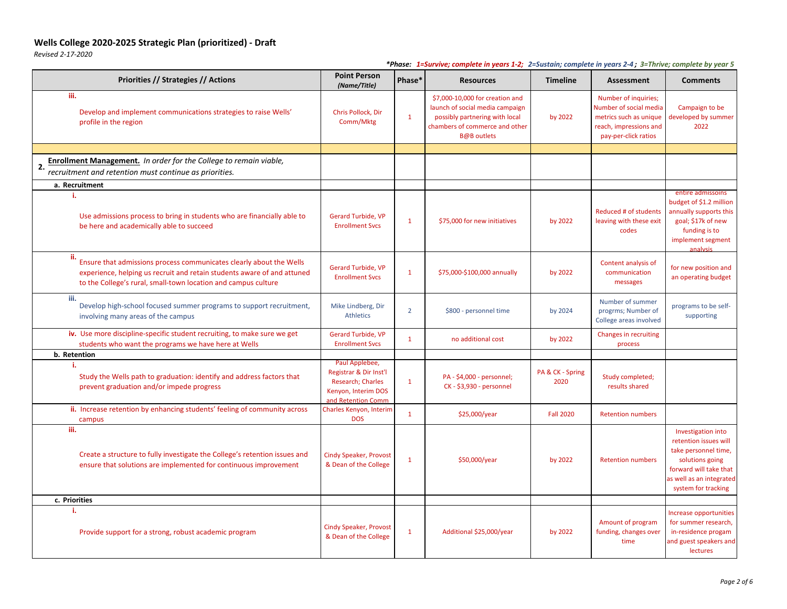*Revised 2-17-2020*

| Priorities // Strategies // Actions                                                                                                                                                                                     | <b>Point Person</b><br>(Name/Title)                                                                        | Phase*         | <b>Resources</b>                                                                                                                                             | <b>Timeline</b>          | <b>Assessment</b>                                                                                                          | <b>Comments</b>                                                                                                                                                     |
|-------------------------------------------------------------------------------------------------------------------------------------------------------------------------------------------------------------------------|------------------------------------------------------------------------------------------------------------|----------------|--------------------------------------------------------------------------------------------------------------------------------------------------------------|--------------------------|----------------------------------------------------------------------------------------------------------------------------|---------------------------------------------------------------------------------------------------------------------------------------------------------------------|
| iii.<br>Develop and implement communications strategies to raise Wells'<br>profile in the region                                                                                                                        | Chris Pollock, Dir<br>Comm/Mktg                                                                            | $\mathbf{1}$   | \$7,000-10,000 for creation and<br>launch of social media campaign<br>possibly partnering with local<br>chambers of commerce and other<br><b>B@B</b> outlets | by 2022                  | Number of inquiries;<br>Number of social media<br>metrics such as unique<br>reach, impressions and<br>pay-per-click ratios | Campaign to be<br>developed by summer<br>2022                                                                                                                       |
|                                                                                                                                                                                                                         |                                                                                                            |                |                                                                                                                                                              |                          |                                                                                                                            |                                                                                                                                                                     |
| <b>Enrollment Management.</b> In order for the College to remain viable,<br>2.<br>recruitment and retention must continue as priorities.                                                                                |                                                                                                            |                |                                                                                                                                                              |                          |                                                                                                                            |                                                                                                                                                                     |
| a. Recruitment                                                                                                                                                                                                          |                                                                                                            |                |                                                                                                                                                              |                          |                                                                                                                            |                                                                                                                                                                     |
| Use admissions process to bring in students who are financially able to<br>be here and academically able to succeed                                                                                                     | <b>Gerard Turbide, VP</b><br><b>Enrollment Svcs</b>                                                        | $\mathbf{1}$   | \$75,000 for new initiatives                                                                                                                                 | by 2022                  | Reduced # of students<br>leaving with these exit<br>codes                                                                  | entire admissoins<br>budget of \$1.2 million<br>annually supports this<br>goal; \$17k of new<br>funding is to<br>implement segment<br>analysis                      |
| ii.<br>Ensure that admissions process communicates clearly about the Wells<br>experience, helping us recruit and retain students aware of and attuned<br>to the College's rural, small-town location and campus culture | Gerard Turbide, VP<br><b>Enrollment Svcs</b>                                                               | $\mathbf{1}$   | \$75,000-\$100,000 annually                                                                                                                                  | by 2022                  | Content analysis of<br>communication<br>messages                                                                           | for new position and<br>an operating budget                                                                                                                         |
| iii.<br>Develop high-school focused summer programs to support recruitment,<br>involving many areas of the campus                                                                                                       | Mike Lindberg, Dir<br><b>Athletics</b>                                                                     | $\overline{2}$ | \$800 - personnel time                                                                                                                                       | by 2024                  | Number of summer<br>progrms; Number of<br>College areas involved                                                           | programs to be self-<br>supporting                                                                                                                                  |
| iv. Use more discipline-specific student recruiting, to make sure we get<br>students who want the programs we have here at Wells                                                                                        | Gerard Turbide, VP<br><b>Enrollment Svcs</b>                                                               | $\mathbf 1$    | no additional cost                                                                                                                                           | by 2022                  | Changes in recruiting<br>process                                                                                           |                                                                                                                                                                     |
| b. Retention                                                                                                                                                                                                            |                                                                                                            |                |                                                                                                                                                              |                          |                                                                                                                            |                                                                                                                                                                     |
| Study the Wells path to graduation: identify and address factors that<br>prevent graduation and/or impede progress                                                                                                      | Paul Applebee,<br>Registrar & Dir Inst'l<br>Research; Charles<br>Kenyon, Interim DOS<br>and Retention Comm | $\mathbf{1}$   | PA - \$4,000 - personnel;<br>CK - \$3,930 - personnel                                                                                                        | PA & CK - Spring<br>2020 | Study completed;<br>results shared                                                                                         |                                                                                                                                                                     |
| ii. Increase retention by enhancing students' feeling of community across<br>campus                                                                                                                                     | Charles Kenyon, Interim<br><b>DOS</b>                                                                      | $\mathbf{1}$   | \$25,000/year                                                                                                                                                | <b>Fall 2020</b>         | <b>Retention numbers</b>                                                                                                   |                                                                                                                                                                     |
| iii.<br>Create a structure to fully investigate the College's retention issues and<br>ensure that solutions are implemented for continuous improvement                                                                  | <b>Cindy Speaker, Provost</b><br>& Dean of the College                                                     | $\mathbf{1}$   | \$50,000/year                                                                                                                                                | by 2022                  | <b>Retention numbers</b>                                                                                                   | Investigation into<br>retention issues will<br>take personnel time,<br>solutions going<br>forward will take that<br>as well as an integrated<br>system for tracking |
| c. Priorities                                                                                                                                                                                                           |                                                                                                            |                |                                                                                                                                                              |                          |                                                                                                                            |                                                                                                                                                                     |
| Provide support for a strong, robust academic program                                                                                                                                                                   | <b>Cindy Speaker, Provost</b><br>& Dean of the College                                                     | $\mathbf{1}$   | Additional \$25,000/year                                                                                                                                     | by 2022                  | Amount of program<br>funding, changes over<br>time                                                                         | Increase opportunities<br>for summer research,<br>in-residence progam<br>and guest speakers and<br>lectures                                                         |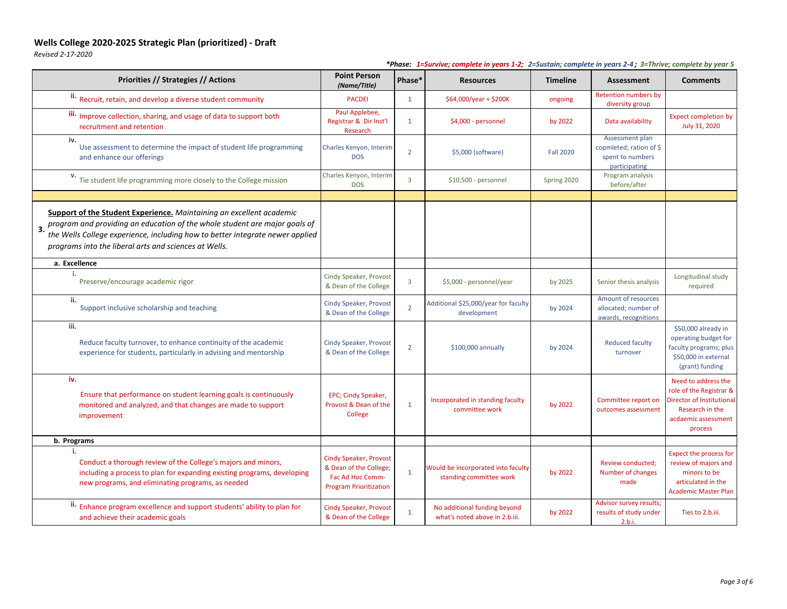*Revised 2-17-2020*

| Priorities // Strategies // Actions                                                                                                                                                                                                                                                                                              | <b>Point Person</b><br>(Name/Title)                                                                          | Phase*         | $\frac{1}{2}$ corrected in years $\frac{1}{2}$ is baseding complete in years $\frac{1}{2}$ in the jectimized by year 3<br><b>Resources</b> | <b>Timeline</b>  | Assessment                                                                      | <b>Comments</b>                                                                                                                         |
|----------------------------------------------------------------------------------------------------------------------------------------------------------------------------------------------------------------------------------------------------------------------------------------------------------------------------------|--------------------------------------------------------------------------------------------------------------|----------------|--------------------------------------------------------------------------------------------------------------------------------------------|------------------|---------------------------------------------------------------------------------|-----------------------------------------------------------------------------------------------------------------------------------------|
| <sup>ii.</sup> Recruit, retain, and develop a diverse student community                                                                                                                                                                                                                                                          | <b>PACDEI</b>                                                                                                | $\mathbf{1}$   | $$64,000/year + $200K$                                                                                                                     | ongoing          | <b>Retention numbers by</b><br>diversity group                                  |                                                                                                                                         |
| iii. Improve collection, sharing, and usage of data to support both<br>recruitment and retention                                                                                                                                                                                                                                 | Paul Applebee,<br>Registrar & Dir Inst'l<br>Research                                                         | $\mathbf{1}$   | \$4,000 - personnel                                                                                                                        | by 2022          | Data availability                                                               | <b>Expect completion by</b><br>July 31, 2020                                                                                            |
| iv.<br>Use assessment to determine the impact of student life programming<br>and enhance our offerings                                                                                                                                                                                                                           | Charles Kenyon, Interim<br><b>DOS</b>                                                                        | $\overline{2}$ | \$5,000 (software)                                                                                                                         | <b>Fall 2020</b> | Assessment plan<br>copmleted; ration of \$<br>spent to numbers<br>participating |                                                                                                                                         |
| V. Tie student life programming more closely to the College mission                                                                                                                                                                                                                                                              | Charles Kenyon, Interim<br><b>DOS</b>                                                                        | 3              | \$10,500 - personnel                                                                                                                       | Spring 2020      | Program analysis<br>before/after                                                |                                                                                                                                         |
| <b>Support of the Student Experience.</b> Maintaining an excellent academic<br>program and providing an education of the whole student are major goals of<br>$\overline{\mathbf{3}}$ .<br>the Wells College experience, including how to better integrate newer applied<br>programs into the liberal arts and sciences at Wells. |                                                                                                              |                |                                                                                                                                            |                  |                                                                                 |                                                                                                                                         |
| a. Excellence                                                                                                                                                                                                                                                                                                                    |                                                                                                              |                |                                                                                                                                            |                  |                                                                                 |                                                                                                                                         |
| Preserve/encourage academic rigor                                                                                                                                                                                                                                                                                                | Cindy Speaker, Provost<br>& Dean of the College                                                              | $\overline{3}$ | \$5,000 - personnel/year                                                                                                                   | by 2025          | Senior thesis analysis                                                          | Longitudinal study<br>required                                                                                                          |
| ii.<br>Support inclusive scholarship and teaching                                                                                                                                                                                                                                                                                | <b>Cindy Speaker, Provost</b><br>& Dean of the College                                                       | $\overline{2}$ | Additional \$25,000/year for faculty<br>development                                                                                        | by 2024          | Amount of resources<br>allocated; number of<br>awards, recognitions             |                                                                                                                                         |
| iii.<br>Reduce faculty turnover, to enhance continuity of the academic<br>experience for students, particularly in advising and mentorship                                                                                                                                                                                       | <b>Cindy Speaker, Provost</b><br>& Dean of the College                                                       | $\overline{2}$ | \$100,000 annually                                                                                                                         | by 2024          | <b>Reduced faculty</b><br>turnover                                              | \$50,000 already in<br>operating budget for<br>faculty programs; plus<br>\$50,000 in external<br>(grant) funding                        |
| iv.<br>Ensure that performance on student learning goals is continuously<br>monitored and analyzed, and that changes are made to support<br>improvement                                                                                                                                                                          | EPC; Cindy Speaker,<br>Provost & Dean of the<br>College                                                      | $\mathbf{1}$   | Incorporated in standing faculty<br>committee work                                                                                         | by 2022          | Committee report on<br>outcomes assessment                                      | Need to address the<br>role of the Registrar &<br><b>Director of Institutional</b><br>Research in the<br>acdaemic assessment<br>process |
| b. Programs                                                                                                                                                                                                                                                                                                                      |                                                                                                              |                |                                                                                                                                            |                  |                                                                                 |                                                                                                                                         |
| Conduct a thorough review of the College's majors and minors,<br>including a process to plan for expanding existing programs, developing<br>new programs, and eliminating programs, as needed                                                                                                                                    | <b>Cindy Speaker, Provost</b><br>& Dean of the College;<br>Fac Ad Hoc Comm-<br><b>Program Prioritization</b> | $\mathbf{1}$   | Would be incorporated into faculty<br>standing committee work                                                                              | by 2022          | Review conducted;<br>Number of changes<br>made                                  | Expect the process for<br>review of majors and<br>minors to be<br>articulated in the<br><b>Academic Master Plan</b>                     |
| ii. Enhance program excellence and support students' ability to plan for<br>and achieve their academic goals                                                                                                                                                                                                                     | <b>Cindy Speaker, Provost</b><br>& Dean of the College                                                       | $\mathbf{1}$   | No additional funding beyond<br>what's noted above in 2.b.iii.                                                                             | by 2022          | Advisor survey results;<br>results of study under<br>2.b.i.                     | Ties to 2.b.iii.                                                                                                                        |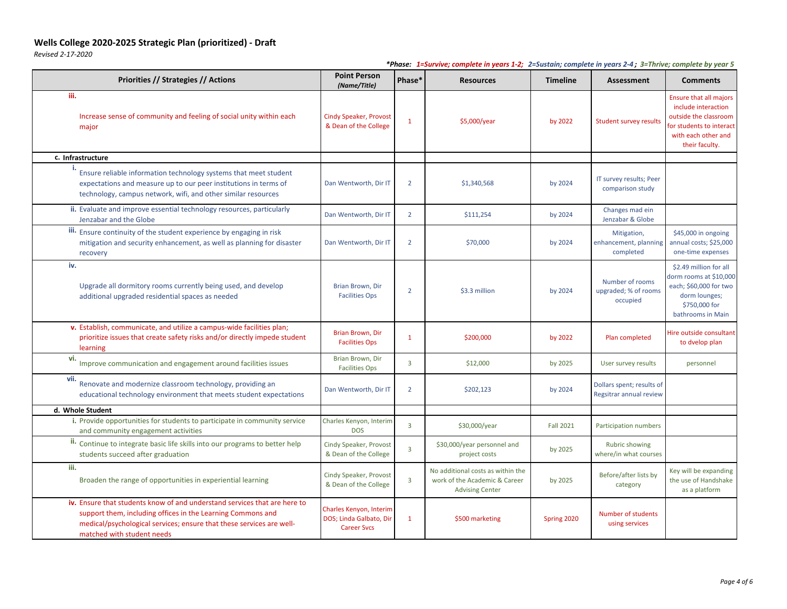*Revised 2-17-2020*

| Priorities // Strategies // Actions                                                                                                                                                                                                            | <b>Point Person</b><br>(Name/Title)                                      | Phase*         | <b>Resources</b>                                                                             | <b>Timeline</b>  | <b>Assessment</b>                                    | <b>Comments</b>                                                                                                                                    |
|------------------------------------------------------------------------------------------------------------------------------------------------------------------------------------------------------------------------------------------------|--------------------------------------------------------------------------|----------------|----------------------------------------------------------------------------------------------|------------------|------------------------------------------------------|----------------------------------------------------------------------------------------------------------------------------------------------------|
| iii.<br>Increase sense of community and feeling of social unity within each<br>major                                                                                                                                                           | <b>Cindy Speaker, Provost</b><br>& Dean of the College                   | $\mathbf{1}$   | \$5,000/year                                                                                 | by 2022          | <b>Student survey results</b>                        | <b>Ensure that all majors</b><br>include interaction<br>outside the classroom<br>for students to interact<br>with each other and<br>their faculty. |
| c. Infrastructure                                                                                                                                                                                                                              |                                                                          |                |                                                                                              |                  |                                                      |                                                                                                                                                    |
| Ensure reliable information technology systems that meet student<br>expectations and measure up to our peer institutions in terms of<br>technology, campus network, wifi, and other similar resources                                          | Dan Wentworth, Dir IT                                                    | 2              | \$1,340,568                                                                                  | by 2024          | IT survey results; Peer<br>comparison study          |                                                                                                                                                    |
| ii. Evaluate and improve essential technology resources, particularly<br>Jenzabar and the Globe                                                                                                                                                | Dan Wentworth, Dir IT                                                    | $\overline{2}$ | \$111,254                                                                                    | by 2024          | Changes mad ein<br>Jenzabar & Globe                  |                                                                                                                                                    |
| iii. Ensure continuity of the student experience by engaging in risk<br>mitigation and security enhancement, as well as planning for disaster<br>recovery                                                                                      | Dan Wentworth, Dir IT                                                    | $\overline{2}$ | \$70,000                                                                                     | by 2024          | Mitigation,<br>enhancement, planning<br>completed    | \$45,000 in ongoing<br>annual costs; \$25,000<br>one-time expenses                                                                                 |
| iv.<br>Upgrade all dormitory rooms currently being used, and develop<br>additional upgraded residential spaces as needed                                                                                                                       | Brian Brown, Dir<br><b>Facilities Ops</b>                                | $\overline{2}$ | \$3.3 million                                                                                | by 2024          | Number of rooms<br>upgraded; % of rooms<br>occupied  | \$2.49 million for all<br>dorm rooms at \$10,000<br>each; \$60,000 for two<br>dorm lounges;<br>\$750,000 for<br>bathrooms in Main                  |
| v. Establish, communicate, and utilize a campus-wide facilities plan;<br>prioritize issues that create safety risks and/or directly impede student<br>learning                                                                                 | Brian Brown, Dir<br><b>Facilities Ops</b>                                | -1             | \$200,000                                                                                    | by 2022          | Plan completed                                       | Hire outside consultant<br>to dvelop plan                                                                                                          |
| vi.<br>Improve communication and engagement around facilities issues                                                                                                                                                                           | Brian Brown, Dir<br><b>Facilities Ops</b>                                | $\overline{3}$ | \$12,000                                                                                     | by 2025          | User survey results                                  | personnel                                                                                                                                          |
| vii.<br>Renovate and modernize classroom technology, providing an<br>educational technology environment that meets student expectations                                                                                                        | Dan Wentworth, Dir IT                                                    | $\overline{2}$ | \$202,123                                                                                    | by 2024          | Dollars spent; results of<br>Regsitrar annual review |                                                                                                                                                    |
| d. Whole Student                                                                                                                                                                                                                               |                                                                          |                |                                                                                              |                  |                                                      |                                                                                                                                                    |
| i. Provide opportunities for students to participate in community service<br>and community engagement activities                                                                                                                               | Charles Kenyon, Interim<br><b>DOS</b>                                    | $\overline{3}$ | \$30,000/year                                                                                | <b>Fall 2021</b> | Participation numbers                                |                                                                                                                                                    |
| ii. Continue to integrate basic life skills into our programs to better help<br>students succeed after graduation                                                                                                                              | Cindy Speaker, Provost<br>& Dean of the College                          | $\overline{3}$ | \$30,000/year personnel and<br>project costs                                                 | by 2025          | Rubric showing<br>where/in what courses              |                                                                                                                                                    |
| iii.<br>Broaden the range of opportunities in experiential learning                                                                                                                                                                            | Cindy Speaker, Provost<br>& Dean of the College                          | $\overline{3}$ | No additional costs as within the<br>work of the Academic & Career<br><b>Advising Center</b> | by 2025          | Before/after lists by<br>category                    | Key will be expanding<br>the use of Handshake<br>as a platform                                                                                     |
| iv. Ensure that students know of and understand services that are here to<br>support them, including offices in the Learning Commons and<br>medical/psychological services; ensure that these services are well-<br>matched with student needs | Charles Kenyon, Interim<br>DOS; Linda Galbato, Dir<br><b>Career Svcs</b> | $\mathbf{1}$   | \$500 marketing                                                                              | Spring 2020      | Number of students<br>using services                 |                                                                                                                                                    |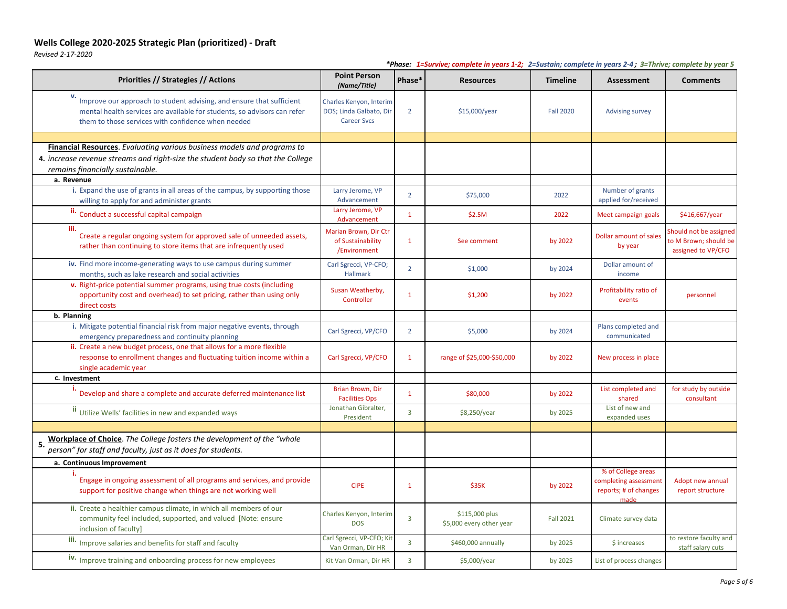*Revised 2-17-2020*

| Priorities // Strategies // Actions                                                                                                                                                                    | <b>Point Person</b><br>(Name/Title)                                      | Phase*                  | <b>Resources</b>                           | <b>Timeline</b>  | <b>Assessment</b>                                                            | <b>Comments</b>                                                       |
|--------------------------------------------------------------------------------------------------------------------------------------------------------------------------------------------------------|--------------------------------------------------------------------------|-------------------------|--------------------------------------------|------------------|------------------------------------------------------------------------------|-----------------------------------------------------------------------|
| Improve our approach to student advising, and ensure that sufficient<br>mental health services are available for students, so advisors can refer<br>them to those services with confidence when needed | Charles Kenyon, Interim<br>DOS; Linda Galbato, Dir<br><b>Career Svcs</b> | $\overline{2}$          | \$15,000/year                              | <b>Fall 2020</b> | <b>Advising survey</b>                                                       |                                                                       |
|                                                                                                                                                                                                        |                                                                          |                         |                                            |                  |                                                                              |                                                                       |
| <b>Financial Resources</b> . Evaluating various business models and programs to<br>4. increase revenue streams and right-size the student body so that the College<br>remains financially sustainable. |                                                                          |                         |                                            |                  |                                                                              |                                                                       |
| a. Revenue                                                                                                                                                                                             |                                                                          |                         |                                            |                  |                                                                              |                                                                       |
| i. Expand the use of grants in all areas of the campus, by supporting those<br>willing to apply for and administer grants                                                                              | Larry Jerome, VP<br>Advancement                                          | $\overline{2}$          | \$75,000                                   | 2022             | Number of grants<br>applied for/received                                     |                                                                       |
| ii. Conduct a successful capital campaign                                                                                                                                                              | Larry Jerome, VP<br>Advancement                                          | $\mathbf{1}$            | \$2.5M                                     | 2022             | Meet campaign goals                                                          | \$416,667/year                                                        |
| iii.<br>Create a regular ongoing system for approved sale of unneeded assets,<br>rather than continuing to store items that are infrequently used                                                      | Marian Brown, Dir Ctr<br>of Sustainability<br>/Environment               | $\mathbf{1}$            | See comment                                | by 2022          | Dollar amount of sales<br>by year                                            | Should not be assigned<br>to M Brown; should be<br>assigned to VP/CFO |
| iv. Find more income-generating ways to use campus during summer<br>months, such as lake research and social activities                                                                                | Carl Sgrecci, VP-CFO;<br>Hallmark                                        | $\overline{2}$          | \$1,000                                    | by 2024          | Dollar amount of<br>income                                                   |                                                                       |
| v. Right-price potential summer programs, using true costs (including<br>opportunity cost and overhead) to set pricing, rather than using only<br>direct costs                                         | Susan Weatherby,<br>Controller                                           | $\mathbf 1$             | \$1,200                                    | by 2022          | Profitability ratio of<br>events                                             | personnel                                                             |
| b. Planning                                                                                                                                                                                            |                                                                          |                         |                                            |                  |                                                                              |                                                                       |
| i. Mitigate potential financial risk from major negative events, through<br>emergency preparedness and continuity planning                                                                             | Carl Sgrecci, VP/CFO                                                     | $\overline{2}$          | \$5,000                                    | by 2024          | Plans completed and<br>communicated                                          |                                                                       |
| ii. Create a new budget process, one that allows for a more flexible<br>response to enrollment changes and fluctuating tuition income within a<br>single academic year                                 | Carl Sgrecci, VP/CFO                                                     | $\mathbf{1}$            | range of \$25,000-\$50,000                 | by 2022          | New process in place                                                         |                                                                       |
| c. Investment                                                                                                                                                                                          |                                                                          |                         |                                            |                  |                                                                              |                                                                       |
| Develop and share a complete and accurate deferred maintenance list                                                                                                                                    | Brian Brown, Dir<br><b>Facilities Ops</b>                                | -1                      | \$80,000                                   | by 2022          | List completed and<br>shared                                                 | for study by outside<br>consultant                                    |
| <sup>II</sup> Utilize Wells' facilities in new and expanded ways                                                                                                                                       | Jonathan Gibralter,<br>President                                         | $\overline{3}$          | \$8,250/year                               | by 2025          | List of new and<br>expanded uses                                             |                                                                       |
|                                                                                                                                                                                                        |                                                                          |                         |                                            |                  |                                                                              |                                                                       |
| Workplace of Choice. The College fosters the development of the "whole<br>5.<br>person" for staff and faculty, just as it does for students.                                                           |                                                                          |                         |                                            |                  |                                                                              |                                                                       |
| a. Continuous Improvement                                                                                                                                                                              |                                                                          |                         |                                            |                  |                                                                              |                                                                       |
| Engage in ongoing assessment of all programs and services, and provide<br>support for positive change when things are not working well                                                                 | <b>CIPE</b>                                                              | $\mathbf{1}$            | \$35K                                      | by 2022          | % of College areas<br>completing assessment<br>reports; # of changes<br>made | Adopt new annual<br>report structure                                  |
| ii. Create a healthier campus climate, in which all members of our<br>community feel included, supported, and valued [Note: ensure<br>inclusion of faculty]                                            | Charles Kenyon, Interim<br><b>DOS</b>                                    | $\overline{\mathbf{3}}$ | \$115,000 plus<br>\$5,000 every other year | <b>Fall 2021</b> | Climate survey data                                                          |                                                                       |
| iii. Improve salaries and benefits for staff and faculty                                                                                                                                               | Carl Sgrecci, VP-CFO; Kit<br>Van Orman, Dir HR                           | $\overline{3}$          | \$460,000 annually                         | by 2025          | \$ increases                                                                 | to restore faculty and<br>staff salary cuts                           |
| iv. Improve training and onboarding process for new employees                                                                                                                                          | Kit Van Orman, Dir HR                                                    | 3                       | \$5,000/year                               | by 2025          | List of process changes                                                      |                                                                       |